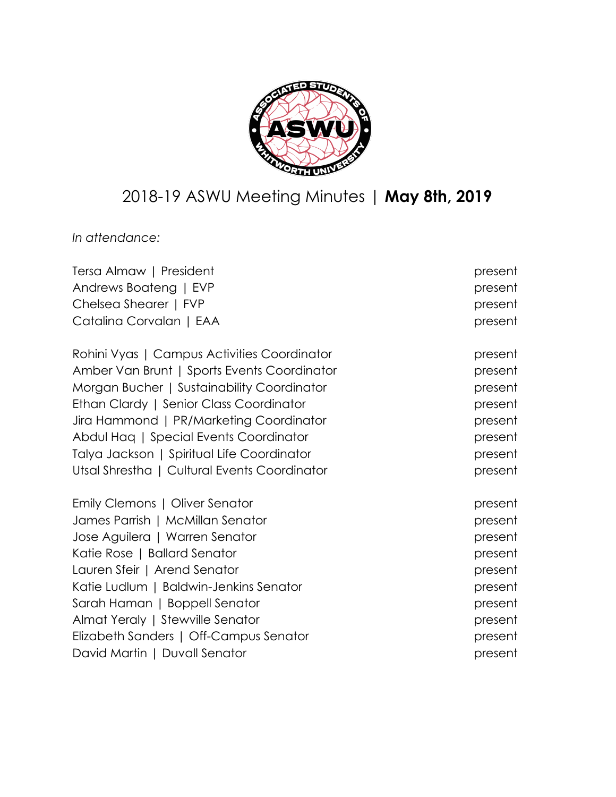

# 2018-19 ASWU Meeting Minutes | **May 8th, 2019**

*In attendance:*

| Tersa Almaw   President                      | present |
|----------------------------------------------|---------|
| Andrews Boateng   EVP                        | present |
| Chelsea Shearer   FVP                        | present |
| Catalina Corvalan   EAA                      | present |
| Rohini Vyas   Campus Activities Coordinator  | present |
| Amber Van Brunt   Sports Events Coordinator  | present |
| Morgan Bucher   Sustainability Coordinator   | present |
| Ethan Clardy   Senior Class Coordinator      | present |
| Jira Hammond   PR/Marketing Coordinator      | present |
| Abdul Haq   Special Events Coordinator       | present |
| Talya Jackson   Spiritual Life Coordinator   | present |
| Utsal Shrestha   Cultural Events Coordinator | present |
| Emily Clemons   Oliver Senator               | present |
| James Parrish   McMillan Senator             | present |
| Jose Aguilera   Warren Senator               | present |
| Katie Rose   Ballard Senator                 | present |
| Lauren Sfeir   Arend Senator                 | present |
| Katie Ludlum   Baldwin-Jenkins Senator       | present |
| Sarah Haman   Boppell Senator                | present |
| Almat Yeraly   Stewville Senator             | present |
| Elizabeth Sanders   Off-Campus Senator       | present |
| David Martin   Duvall Senator                | present |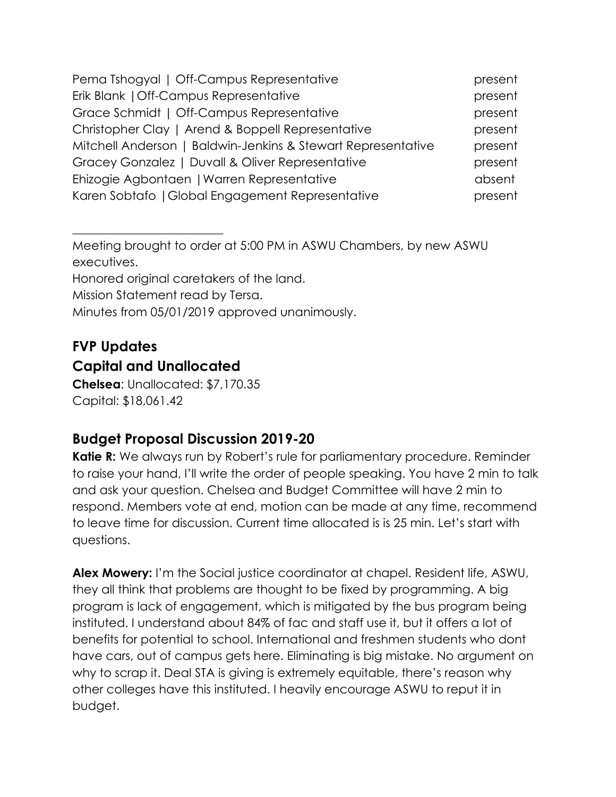| Pema Tshogyal   Off-Campus Representative                    | present |
|--------------------------------------------------------------|---------|
| Erik Blank   Off-Campus Representative                       | present |
| Grace Schmidt   Off-Campus Representative                    | present |
| Christopher Clay   Arend & Boppell Representative            | present |
| Mitchell Anderson   Baldwin-Jenkins & Stewart Representative | present |
| Gracey Gonzalez   Duvall & Oliver Representative             | present |
| Ehizogie Agbontaen   Warren Representative                   | absent  |
| Karen Sobtafo   Global Engagement Representative             | present |

Meeting brought to order at 5:00 PM in ASWU Chambers, by new ASWU executives. Honored original caretakers of the land. Mission Statement read by Tersa. Minutes from 05/01/2019 approved unanimously.

# **FVP Updates**

#### **Capital and Unallocated**

 $\overline{\phantom{a}}$  , where  $\overline{\phantom{a}}$  , where  $\overline{\phantom{a}}$  , where  $\overline{\phantom{a}}$  , where  $\overline{\phantom{a}}$ 

**Chelsea**: Unallocated: \$7,170.35 Capital: \$18,061.42

# **Budget Proposal Discussion 2019-20**

**Katie R:** We always run by Robert's rule for parliamentary procedure. Reminder to raise your hand, I'll write the order of people speaking. You have 2 min to talk and ask your question. Chelsea and Budget Committee will have 2 min to respond. Members vote at end, motion can be made at any time, recommend to leave time for discussion. Current time allocated is is 25 min. Let's start with questions.

**Alex Mowery:** I'm the Social justice coordinator at chapel. Resident life, ASWU, they all think that problems are thought to be fixed by programming. A big program is lack of engagement, which is mitigated by the bus program being instituted. I understand about 84% of fac and staff use it, but it offers a lot of benefits for potential to school. International and freshmen students who dont have cars, out of campus gets here. Eliminating is big mistake. No argument on why to scrap it. Deal STA is giving is extremely equitable, there's reason why other colleges have this instituted. I heavily encourage ASWU to reput it in budget.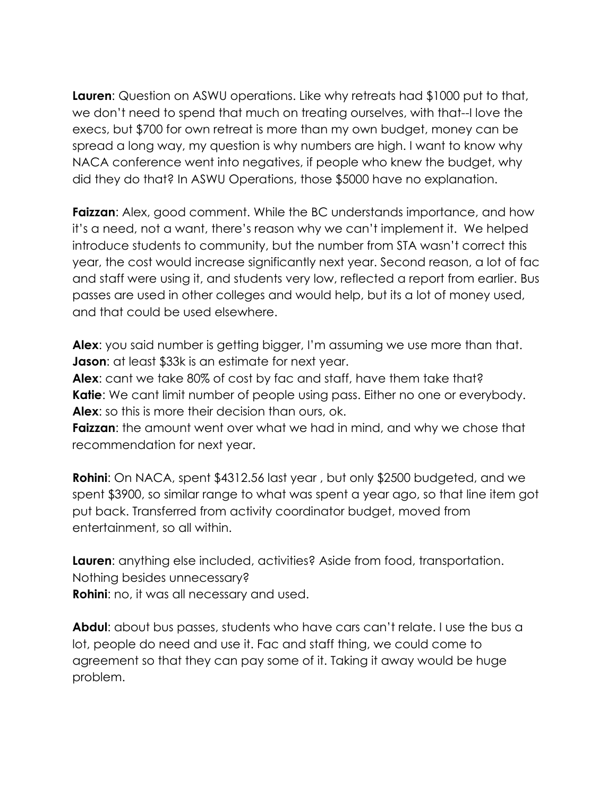**Lauren**: Question on ASWU operations. Like why retreats had \$1000 put to that, we don't need to spend that much on treating ourselves, with that--I love the execs, but \$700 for own retreat is more than my own budget, money can be spread a long way, my question is why numbers are high. I want to know why NACA conference went into negatives, if people who knew the budget, why did they do that? In ASWU Operations, those \$5000 have no explanation.

**Faizzan:** Alex, good comment. While the BC understands importance, and how it's a need, not a want, there's reason why we can't implement it. We helped introduce students to community, but the number from STA wasn't correct this year, the cost would increase significantly next year. Second reason, a lot of fac and staff were using it, and students very low, reflected a report from earlier. Bus passes are used in other colleges and would help, but its a lot of money used, and that could be used elsewhere.

**Alex**: you said number is getting bigger, I'm assuming we use more than that. **Jason:** at least \$33k is an estimate for next year.

**Alex**: cant we take 80% of cost by fac and staff, have them take that? **Katie**: We cant limit number of people using pass. Either no one or everybody. **Alex**: so this is more their decision than ours, ok.

**Faizzan**: the amount went over what we had in mind, and why we chose that recommendation for next year.

**Rohini**: On NACA, spent \$4312.56 last year , but only \$2500 budgeted, and we spent \$3900, so similar range to what was spent a year ago, so that line item got put back. Transferred from activity coordinator budget, moved from entertainment, so all within.

**Lauren:** anything else included, activities? Aside from food, transportation. Nothing besides unnecessary?

**Rohini**: no, it was all necessary and used.

**Abdul**: about bus passes, students who have cars can't relate. I use the bus a lot, people do need and use it. Fac and staff thing, we could come to agreement so that they can pay some of it. Taking it away would be huge problem.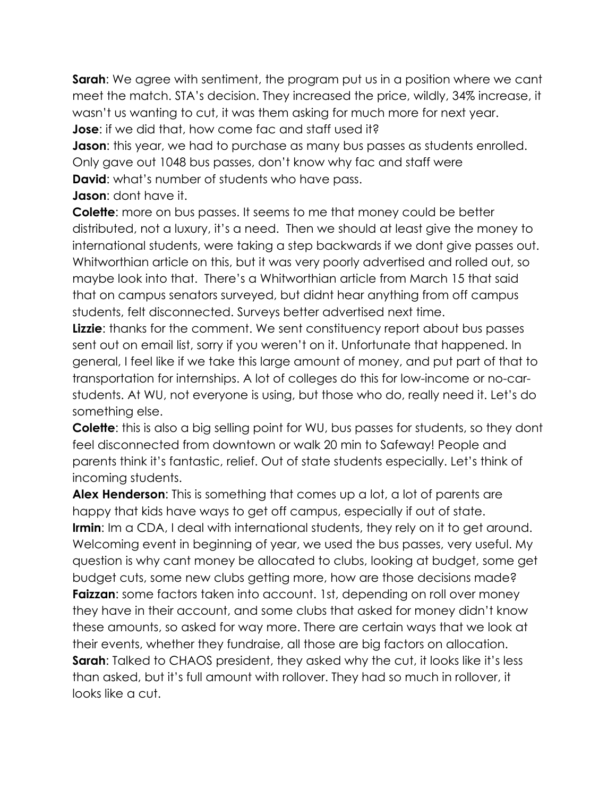**Sarah**: We agree with sentiment, the program put us in a position where we cant meet the match. STA's decision. They increased the price, wildly, 34% increase, it wasn't us wanting to cut, it was them asking for much more for next year.

**Jose**: if we did that, how come fac and staff used it?

**Jason:** this year, we had to purchase as many bus passes as students enrolled. Only gave out 1048 bus passes, don't know why fac and staff were

**David:** what's number of students who have pass.

**Jason**: dont have it.

**Colette**: more on bus passes. It seems to me that money could be better distributed, not a luxury, it's a need. Then we should at least give the money to international students, were taking a step backwards if we dont give passes out. Whitworthian article on this, but it was very poorly advertised and rolled out, so maybe look into that. There's a Whitworthian article from March 15 that said that on campus senators surveyed, but didnt hear anything from off campus students, felt disconnected. Surveys better advertised next time.

**Lizzie:** thanks for the comment. We sent constituency report about bus passes sent out on email list, sorry if you weren't on it. Unfortunate that happened. In general, I feel like if we take this large amount of money, and put part of that to transportation for internships. A lot of colleges do this for low-income or no-carstudents. At WU, not everyone is using, but those who do, really need it. Let's do something else.

**Colette**: this is also a big selling point for WU, bus passes for students, so they dont feel disconnected from downtown or walk 20 min to Safeway! People and parents think it's fantastic, relief. Out of state students especially. Let's think of incoming students.

**Alex Henderson**: This is something that comes up a lot, a lot of parents are happy that kids have ways to get off campus, especially if out of state. **Irmin**: Im a CDA, I deal with international students, they rely on it to get around. Welcoming event in beginning of year, we used the bus passes, very useful. My question is why cant money be allocated to clubs, looking at budget, some get budget cuts, some new clubs getting more, how are those decisions made? **Faizzan**: some factors taken into account. 1st, depending on roll over money they have in their account, and some clubs that asked for money didn't know these amounts, so asked for way more. There are certain ways that we look at their events, whether they fundraise, all those are big factors on allocation. **Sarah**: Talked to CHAOS president, they asked why the cut, it looks like it's less than asked, but it's full amount with rollover. They had so much in rollover, it looks like a cut.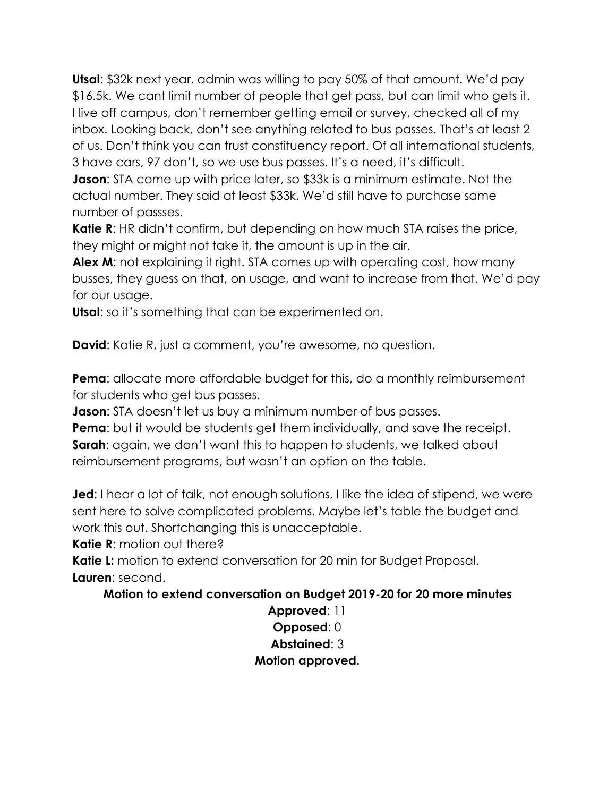**Utsal**: \$32k next year, admin was willing to pay 50% of that amount. We'd pay \$16.5k. We cant limit number of people that get pass, but can limit who gets it. I live off campus, don't remember getting email or survey, checked all of my inbox. Looking back, don't see anything related to bus passes. That's at least 2 of us. Don't think you can trust constituency report. Of all international students, 3 have cars, 97 don't, so we use bus passes. It's a need, it's difficult.

**Jason**: STA come up with price later, so \$33k is a minimum estimate. Not the actual number. They said at least \$33k. We'd still have to purchase same number of passses.

**Katie R:** HR didn't confirm, but depending on how much STA raises the price, they might or might not take it, the amount is up in the air.

**Alex M:** not explaining it right. STA comes up with operating cost, how many busses, they guess on that, on usage, and want to increase from that. We'd pay for our usage.

**Utsal**: so it's something that can be experimented on.

**David**: Katie R, just a comment, you're awesome, no question.

**Pema**: allocate more affordable budget for this, do a monthly reimbursement for students who get bus passes.

**Jason**: STA doesn't let us buy a minimum number of bus passes.

**Pema**: but it would be students get them individually, and save the receipt. **Sarah**: again, we don't want this to happen to students, we talked about reimbursement programs, but wasn't an option on the table.

**Jed**: I hear a lot of talk, not enough solutions, I like the idea of stipend, we were sent here to solve complicated problems. Maybe let's table the budget and work this out. Shortchanging this is unacceptable.

**Katie R**: motion out there?

Katie L: motion to extend conversation for 20 min for Budget Proposal. **Lauren**: second.

#### **Motion to extend conversation on Budget 2019-20 for 20 more minutes**

**Approved**: 11 **Opposed**: 0 **Abstained**: 3 **Motion approved.**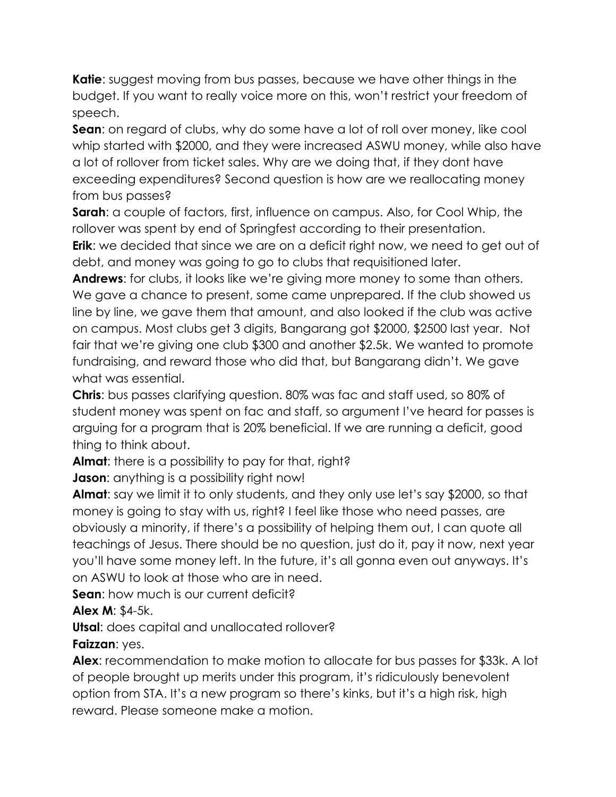**Katie**: suggest moving from bus passes, because we have other things in the budget. If you want to really voice more on this, won't restrict your freedom of speech.

**Sean**: on regard of clubs, why do some have a lot of roll over money, like cool whip started with \$2000, and they were increased ASWU money, while also have a lot of rollover from ticket sales. Why are we doing that, if they dont have exceeding expenditures? Second question is how are we reallocating money from bus passes?

**Sarah**: a couple of factors, first, influence on campus. Also, for Cool Whip, the rollover was spent by end of Springfest according to their presentation.

**Erik**: we decided that since we are on a deficit right now, we need to get out of debt, and money was going to go to clubs that requisitioned later.

**Andrews**: for clubs, it looks like we're giving more money to some than others. We gave a chance to present, some came unprepared. If the club showed us line by line, we gave them that amount, and also looked if the club was active on campus. Most clubs get 3 digits, Bangarang got \$2000, \$2500 last year. Not fair that we're giving one club \$300 and another \$2.5k. We wanted to promote fundraising, and reward those who did that, but Bangarang didn't. We gave what was essential.

**Chris**: bus passes clarifying question. 80% was fac and staff used, so 80% of student money was spent on fac and staff, so argument I've heard for passes is arguing for a program that is 20% beneficial. If we are running a deficit, good thing to think about.

**Almat**: there is a possibility to pay for that, right?

**Jason:** anything is a possibility right now!

**Almat**: say we limit it to only students, and they only use let's say \$2000, so that money is going to stay with us, right? I feel like those who need passes, are obviously a minority, if there's a possibility of helping them out, I can quote all teachings of Jesus. There should be no question, just do it, pay it now, next year you'll have some money left. In the future, it's all gonna even out anyways. It's on ASWU to look at those who are in need.

**Sean:** how much is our current deficit?

**Alex M**: \$4-5k.

**Utsal**: does capital and unallocated rollover?

**Faizzan**: yes.

**Alex**: recommendation to make motion to allocate for bus passes for \$33k. A lot of people brought up merits under this program, it's ridiculously benevolent option from STA. It's a new program so there's kinks, but it's a high risk, high reward. Please someone make a motion.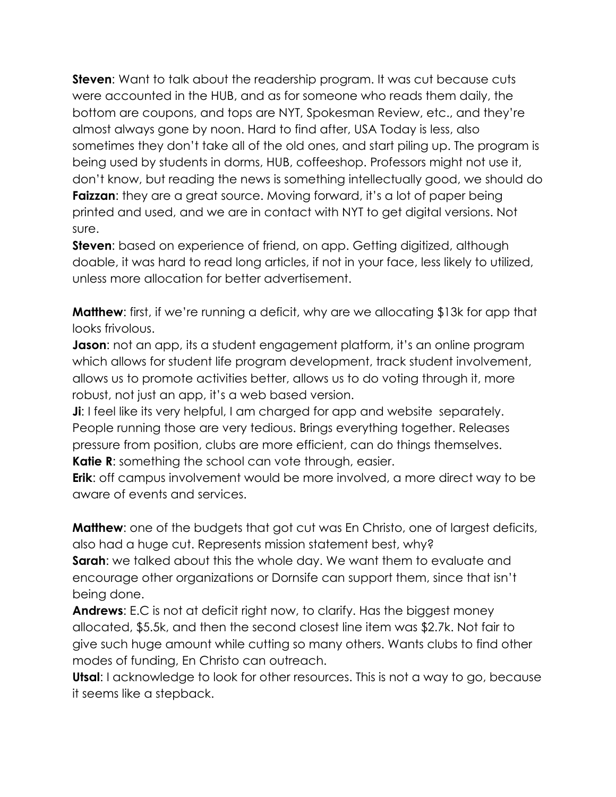**Steven:** Want to talk about the readership program. It was cut because cuts were accounted in the HUB, and as for someone who reads them daily, the bottom are coupons, and tops are NYT, Spokesman Review, etc., and they're almost always gone by noon. Hard to find after, USA Today is less, also sometimes they don't take all of the old ones, and start piling up. The program is being used by students in dorms, HUB, coffeeshop. Professors might not use it, don't know, but reading the news is something intellectually good, we should do **Faizzan:** they are a great source. Moving forward, it's a lot of paper being printed and used, and we are in contact with NYT to get digital versions. Not sure.

**Steven**: based on experience of friend, on app. Getting digitized, although doable, it was hard to read long articles, if not in your face, less likely to utilized, unless more allocation for better advertisement.

**Matthew**: first, if we're running a deficit, why are we allocating \$13k for app that looks frivolous.

**Jason**: not an app, its a student engagement platform, it's an online program which allows for student life program development, track student involvement, allows us to promote activities better, allows us to do voting through it, more robust, not just an app, it's a web based version.

**Ji**: I feel like its very helpful, I am charged for app and website separately. People running those are very tedious. Brings everything together. Releases pressure from position, clubs are more efficient, can do things themselves. **Katie R:** something the school can vote through, easier.

**Erik**: off campus involvement would be more involved, a more direct way to be aware of events and services.

**Matthew**: one of the budgets that got cut was En Christo, one of largest deficits, also had a huge cut. Represents mission statement best, why?

**Sarah**: we talked about this the whole day. We want them to evaluate and encourage other organizations or Dornsife can support them, since that isn't being done.

**Andrews**: E.C is not at deficit right now, to clarify. Has the biggest money allocated, \$5.5k, and then the second closest line item was \$2.7k. Not fair to give such huge amount while cutting so many others. Wants clubs to find other modes of funding, En Christo can outreach.

**Utsal**: I acknowledge to look for other resources. This is not a way to go, because it seems like a stepback.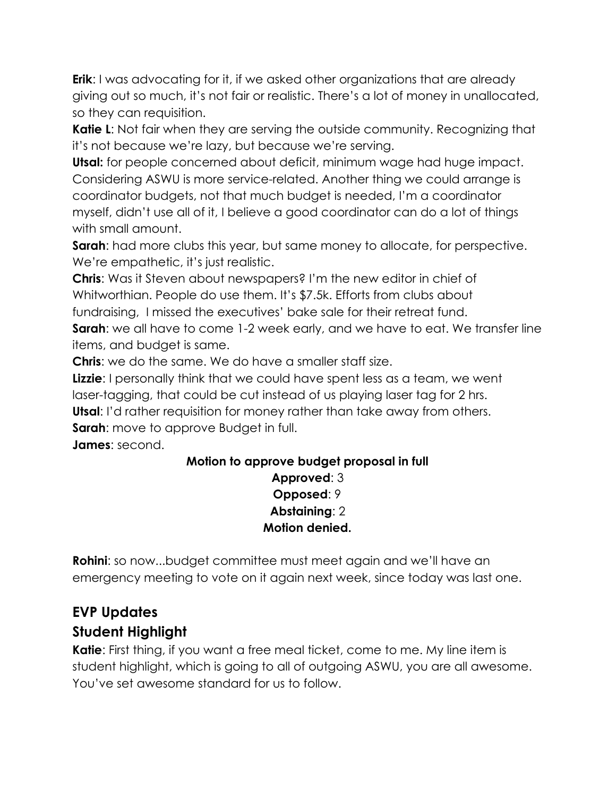**Erik**: I was advocating for it, if we asked other organizations that are already giving out so much, it's not fair or realistic. There's a lot of money in unallocated, so they can requisition.

**Katie L**: Not fair when they are serving the outside community. Recognizing that it's not because we're lazy, but because we're serving.

**Utsal:** for people concerned about deficit, minimum wage had huge impact. Considering ASWU is more service-related. Another thing we could arrange is coordinator budgets, not that much budget is needed, I'm a coordinator myself, didn't use all of it, I believe a good coordinator can do a lot of things with small amount.

**Sarah:** had more clubs this year, but same money to allocate, for perspective. We're empathetic, it's just realistic.

**Chris**: Was it Steven about newspapers? I'm the new editor in chief of Whitworthian. People do use them. It's \$7.5k. Efforts from clubs about fundraising, I missed the executives' bake sale for their retreat fund.

**Sarah:** we all have to come 1-2 week early, and we have to eat. We transfer line

items, and budget is same.

**Chris**: we do the same. We do have a smaller staff size.

**Lizzie**: I personally think that we could have spent less as a team, we went laser-tagging, that could be cut instead of us playing laser tag for 2 hrs.

**Utsal**: I'd rather requisition for money rather than take away from others.

**Sarah:** move to approve Budget in full.

**James**: second.

#### **Motion to approve budget proposal in full Approved**: 3 **Opposed**: 9 **Abstaining**: 2 **Motion denied.**

**Rohini**: so now...budget committee must meet again and we'll have an emergency meeting to vote on it again next week, since today was last one.

# **EVP Updates**

# **Student Highlight**

**Katie**: First thing, if you want a free meal ticket, come to me. My line item is student highlight, which is going to all of outgoing ASWU, you are all awesome. You've set awesome standard for us to follow.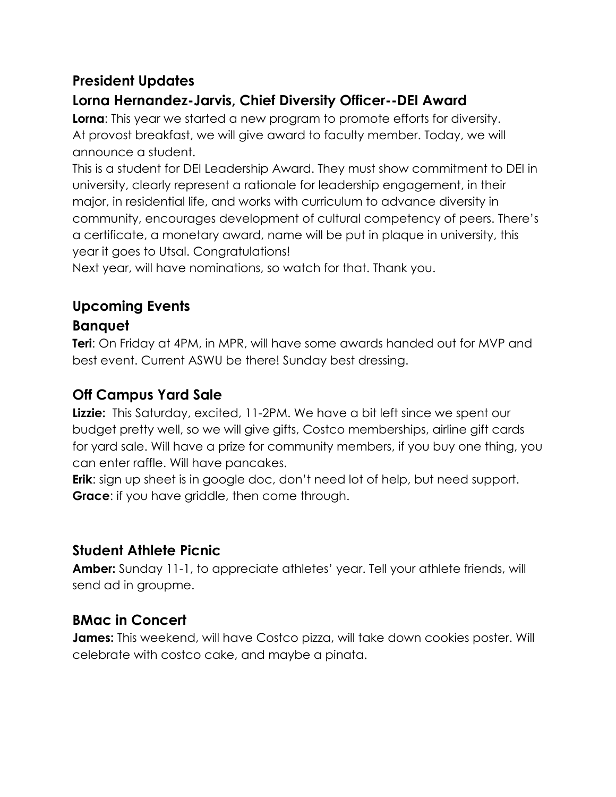### **President Updates**

# **Lorna Hernandez-Jarvis, Chief Diversity Officer--DEI Award**

**Lorna**: This year we started a new program to promote efforts for diversity. At provost breakfast, we will give award to faculty member. Today, we will announce a student.

This is a student for DEI Leadership Award. They must show commitment to DEI in university, clearly represent a rationale for leadership engagement, in their major, in residential life, and works with curriculum to advance diversity in community, encourages development of cultural competency of peers. There's a certificate, a monetary award, name will be put in plaque in university, this year it goes to Utsal. Congratulations!

Next year, will have nominations, so watch for that. Thank you.

# **Upcoming Events**

# **Banquet**

**Teri**: On Friday at 4PM, in MPR, will have some awards handed out for MVP and best event. Current ASWU be there! Sunday best dressing.

### **Off Campus Yard Sale**

**Lizzie:** This Saturday, excited, 11-2PM. We have a bit left since we spent our budget pretty well, so we will give gifts, Costco memberships, airline gift cards for yard sale. Will have a prize for community members, if you buy one thing, you can enter raffle. Will have pancakes.

**Erik**: sign up sheet is in google doc, don't need lot of help, but need support. **Grace**: if you have griddle, then come through.

# **Student Athlete Picnic**

**Amber:** Sunday 11-1, to appreciate athletes' year. Tell your athlete friends, will send ad in groupme.

# **BMac in Concert**

**James:** This weekend, will have Costco pizza, will take down cookies poster. Will celebrate with costco cake, and maybe a pinata.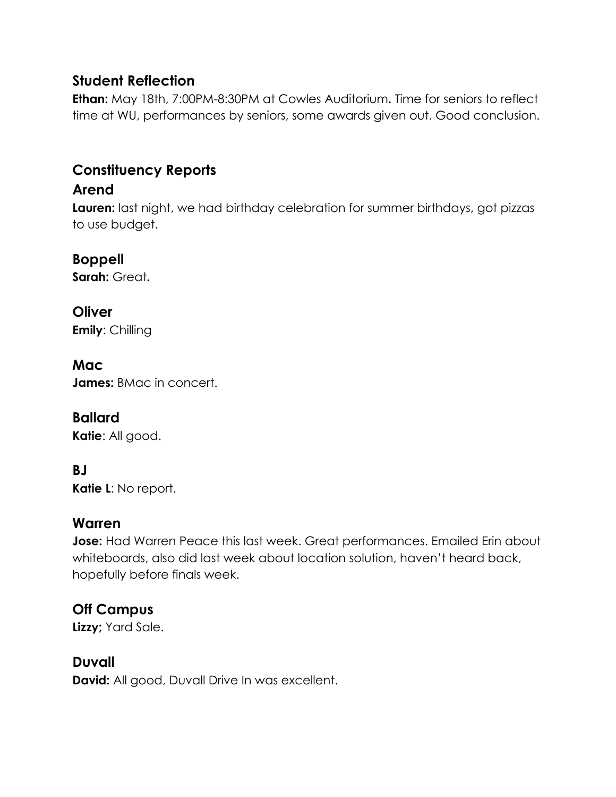#### **Student Reflection**

**Ethan:** May 18th, 7:00PM-8:30PM at Cowles Auditorium**.** Time for seniors to reflect time at WU, performances by seniors, some awards given out. Good conclusion.

#### **Constituency Reports**

#### **Arend**

**Lauren:** last night, we had birthday celebration for summer birthdays, got pizzas to use budget.

#### **Boppell**

**Sarah:** Great**.**

# **Oliver**

**Emily**: Chilling

#### **Mac**

**James:** BMac in concert.

#### **Ballard**

**Katie**: All good.

#### **BJ**

**Katie L**: No report.

#### **Warren**

**Jose:** Had Warren Peace this last week. Great performances. Emailed Erin about whiteboards, also did last week about location solution, haven't heard back, hopefully before finals week.

#### **Off Campus**

**Lizzy;** Yard Sale.

#### **Duvall**

**David:** All good, Duvall Drive In was excellent.